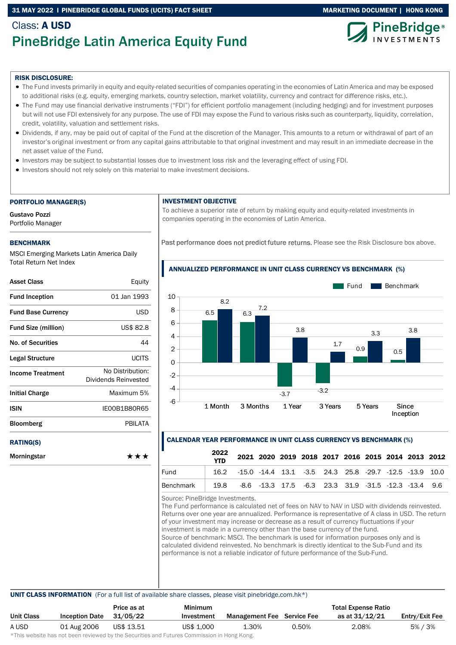# 31 MAY 2022 I PINEBRIDGE GLOBAL FUNDS (UCITS) FACT SHEET MARKETING DOCUMENT | HONG KONG

# Class: A USD PineBridge Latin America Equity Fund





#### RISK DISCLOSURE:

- The Fund invests primarily in equity and equity-related securities of companies operating in the economies of Latin America and may be exposed to additional risks (e.g. equity, emerging markets, country selection, market volatility, currency and contract for difference risks, etc.).
- The Fund may use financial derivative instruments ("FDI") for efficient portfolio management (including hedging) and for investment purposes but will not use FDI extensively for any purpose. The use of FDI may expose the Fund to various risks such as counterparty, liquidity, correlation, credit, volatility, valuation and settlement risks.
- Dividends, if any, may be paid out of capital of the Fund at the discretion of the Manager. This amounts to a return or withdrawal of part of an investor's original investment or from any capital gains attributable to that original investment and may result in an immediate decrease in the net asset value of the Fund.
- Investors may be subject to substantial losses due to investment loss risk and the leveraging effect of using FDI.
- Investors should not rely solely on this material to make investment decisions.

#### PORTFOLIO MANAGER(S)

Gustavo Pozzi Portfolio Manager

#### BENCHMARK

MSCI Emerging Markets Latin America Daily Total Return Net Index

| <b>Asset Class</b>         | Equity                                   |
|----------------------------|------------------------------------------|
| <b>Fund Inception</b>      | 01 Jan 1993                              |
| <b>Fund Base Currency</b>  | USD                                      |
| <b>Fund Size (million)</b> | US\$ 82.8                                |
| No. of Securities          | 44                                       |
| Legal Structure            | <b>UCITS</b>                             |
| <b>Income Treatment</b>    | No Distribution:<br>Dividends Reinvested |
| <b>Initial Charge</b>      | Maximum 5%                               |
| <b>ISIN</b>                | IFOOR1B80R65                             |
| <b>Bloomberg</b>           | PRII ATA                                 |
| <b>RATING(S)</b>           |                                          |
| Morningstar                | ***                                      |

### INVESTMENT OBJECTIVE

To achieve a superior rate of return by making equity and equity-related investments in companies operating in the economies of Latin America.

Past performance does not predict future returns. Please see the Risk Disclosure box above.

ANNUALIZED PERFORMANCE IN UNIT CLASS CURRENCY VS BENCHMARK (%)



## CALENDAR YEAR PERFORMANCE IN UNIT CLASS CURRENCY VS BENCHMARK (%)

| Morningstar | *** |           | 2022<br><b>YTD</b> | 2021 2020 2019 2018 2017 2016 2015 2014 2013 2012                          |  |                                                      |  |  |  |
|-------------|-----|-----------|--------------------|----------------------------------------------------------------------------|--|------------------------------------------------------|--|--|--|
|             |     | Fund      | 16.2               | $-15.0$ $-14.4$ $13.1$ $-3.5$ $24.3$ $25.8$ $-29.7$ $-12.5$ $-13.9$ $10.0$ |  |                                                      |  |  |  |
|             |     | Benchmark | 19.8               |                                                                            |  | -8.6 -13.3 17.5 -6.3 23.3 31.9 -31.5 -12.3 -13.4 9.6 |  |  |  |

Source: PineBridge Investments.

The Fund performance is calculated net of fees on NAV to NAV in USD with dividends reinvested. Returns over one year are annualized. Performance is representative of A class in USD. The return of your investment may increase or decrease as a result of currency fluctuations if your investment is made in a currency other than the base currency of the fund. Source of benchmark: MSCI. The benchmark is used for information purposes only and is

calculated dividend reinvested. No benchmark is directly identical to the Sub-Fund and its performance is not a reliable indicator of future performance of the Sub-Fund.

#### UNIT CLASS INFORMATION (For a full list of available share classes, please visit pinebridge.com.hk\*)

|                   |                       | Price as at | Minimum    |                                   |       | <b>Total Expense Ratio</b> |                |
|-------------------|-----------------------|-------------|------------|-----------------------------------|-------|----------------------------|----------------|
| <b>Unit Class</b> | <b>Inception Date</b> | 31/05/22    | Investment | <b>Management Fee</b> Service Fee |       | as at 31/12/21             | Entry/Exit Fee |
| A USD             | 01 Aug 2006           | US\$ 13.51  | US\$ 1.000 | ⊥.30%                             | 0.50% | 2.08%                      | 5% / 3%        |

\*This website has not been reviewed by the Securities and Futures Commission in Hong Kong.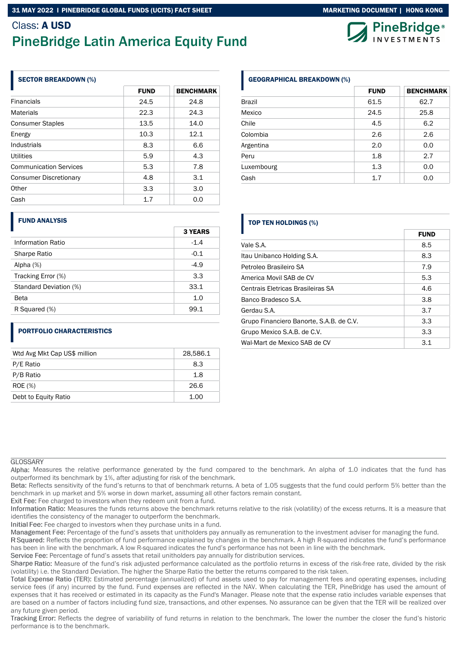# Class: A USD PineBridge Latin America Equity Fund

# SECTOR BREAKDOWN (%)

|                               | <b>FUND</b> | <b>BENCHMARK</b> |
|-------------------------------|-------------|------------------|
| <b>Financials</b>             | 24.5        | 24.8             |
| <b>Materials</b>              | 22.3        | 24.3             |
| <b>Consumer Staples</b>       | 13.5        | 14.0             |
| Energy                        | 10.3        | 12.1             |
| Industrials                   | 8.3         | 6.6              |
| Utilities                     | 5.9         | 4.3              |
| <b>Communication Services</b> | 5.3         | 7.8              |
| <b>Consumer Discretionary</b> | 4.8         | 3.1              |
| Other                         | 3.3         | 3.0              |
| Cash                          | 17          | 0.0              |

# GEOGRAPHICAL BREAKDOWN (%)

|            | <b>FUND</b> | <b>BENCHMARK</b> |
|------------|-------------|------------------|
| Brazil     | 61.5        | 62.7             |
| Mexico     | 24.5        | 25.8             |
| Chile      | 4.5         | 6.2              |
| Colombia   | 2.6         | 2.6              |
| Argentina  | 2.0         | 0.0              |
| Peru       | 1.8         | 2.7              |
| Luxembourg | 1.3         | 0.0              |
| Cash       | 1.7         | 0.0              |

# FUND ANALYSIS

|                        | <b>3 YEARS</b> |
|------------------------|----------------|
| Information Ratio      | $-1.4$         |
| <b>Sharpe Ratio</b>    | $-0.1$         |
| Alpha $(%)$            | $-4.9$         |
| Tracking Error (%)     | 3.3            |
| Standard Deviation (%) | 33.1           |
| Beta                   | 1.0            |
| R Squared (%)          | 99.1           |

# PORTFOLIO CHARACTERISTICS

| Wtd Avg Mkt Cap US\$ million | 28,586.1 |
|------------------------------|----------|
| P/E Ratio                    | 8.3      |
| P/B Ratio                    | 1.8      |
| <b>ROE</b> (%)               | 26.6     |
| Debt to Equity Ratio         | 1.00     |

## TOP TEN HOLDINGS (%)

|                                          | <b>FUND</b> |
|------------------------------------------|-------------|
| Vale S.A.                                | 8.5         |
| Itau Unibanco Holding S.A.               | 8.3         |
| Petroleo Brasileiro SA                   | 7.9         |
| America Movil SAB de CV                  | 5.3         |
| Centrais Eletricas Brasileiras SA        | 4.6         |
| Banco Bradesco S.A.                      | 3.8         |
| Gerdau S.A.                              | 3.7         |
| Grupo Financiero Banorte, S.A.B. de C.V. | 3.3         |
| Grupo Mexico S.A.B. de C.V.              | 3.3         |
| Wal-Mart de Mexico SAB de CV             | 3.1         |

#### **GLOSSARY**

Alpha: Measures the relative performance generated by the fund compared to the benchmark. An alpha of 1.0 indicates that the fund has outperformed its benchmark by 1%, after adjusting for risk of the benchmark.

Beta: Reflects sensitivity of the fund's returns to that of benchmark returns. A beta of 1.05 suggests that the fund could perform 5% better than the benchmark in up market and 5% worse in down market, assuming all other factors remain constant.

Exit Fee: Fee charged to investors when they redeem unit from a fund.

Information Ratio: Measures the funds returns above the benchmark returns relative to the risk (volatility) of the excess returns. It is a measure that identifies the consistency of the manager to outperform the benchmark.

Initial Fee: Fee charged to investors when they purchase units in a fund.

Management Fee: Percentage of the fund's assets that unitholders pay annually as remuneration to the investment adviser for managing the fund.

R Squared: Reflects the proportion of fund performance explained by changes in the benchmark. A high R-squared indicates the fund's performance has been in line with the benchmark. A low R-squared indicates the fund's performance has not been in line with the benchmark.

Service Fee: Percentage of fund's assets that retail unitholders pay annually for distribution services.

Sharpe Ratio: Measure of the fund's risk adjusted performance calculated as the portfolio returns in excess of the risk-free rate, divided by the risk (volatility) i.e. the Standard Deviation. The higher the Sharpe Ratio the better the returns compared to the risk taken.

Total Expense Ratio (TER): Estimated percentage (annualized) of fund assets used to pay for management fees and operating expenses, including service fees (if any) incurred by the fund. Fund expenses are reflected in the NAV. When calculating the TER, PineBridge has used the amount of expenses that it has received or estimated in its capacity as the Fund's Manager. Please note that the expense ratio includes variable expenses that are based on a number of factors including fund size, transactions, and other expenses. No assurance can be given that the TER will be realized over any future given period.

Tracking Error: Reflects the degree of variability of fund returns in relation to the benchmark. The lower the number the closer the fund's historic performance is to the benchmark.